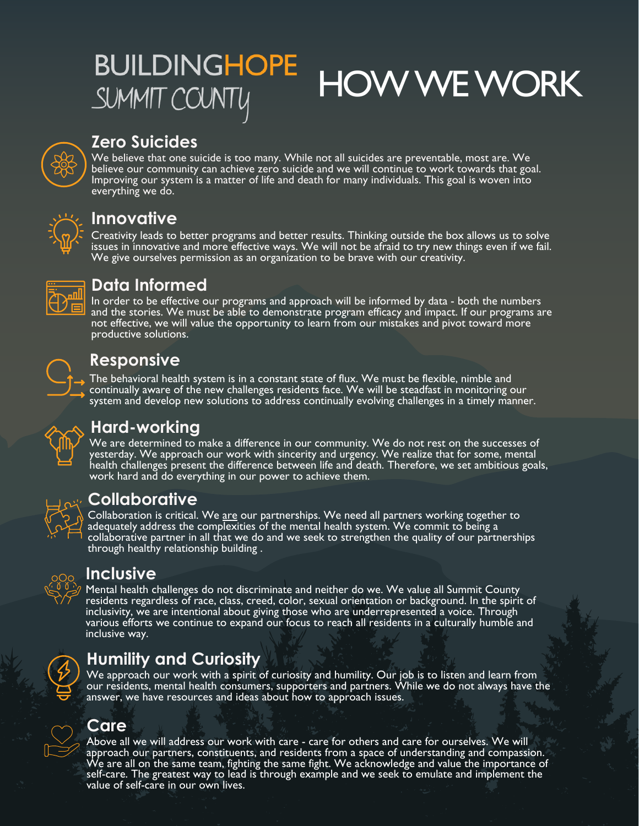# **BUILDINGHOPE** HOW WE WORK SUMMIT COUNTY



### **Zero Suicides**

We believe that one suicide is too many. While not all suicides are preventable, most are. We believe our community can achieve zero suicide and we will continue to work towards that goal. Improving our system is a matter of life and death for many individuals. This goal is woven into everything we do.



### **Innovative**

Creativity leads to better programs and better results. Thinking outside the box allows us to solve issues in innovative and more effective ways. We will not be afraid to try new things even if we fail.<br>We give ourselves permission as an organization to be brave with our creativity.



### **Data Informed**

In order to be effective our programs and approach will be informed by data - both the numbers and the stories. We must be able to demonstrate program efficacy and impact. If our programs are not effective, we will value the opportunity to learn from our mistakes and pivot toward more productive solutions.

### **Responsive**

The behavioral health system is in a constant state of flux. We must be flexible, nimble and continually aware of the new challenges residents face. We will be steadfast in monitoring our system and develop new solutions to address continually evolving challenges in a timely manner.



### **Hard-working**

We are determined to make a difference in our community. We do not rest on the successes of yesterday. We approach our work with sincerity and urgency. We realize that for some, mental  $\acute{\text{h}}$ ealth challenges present the difference between life and death. Therefore, we set ambitious goals, work hard and do everything in our power to achieve them.



### **Collaborative**

Collaboration is critical. We are our partnerships. We need all partners working together to adequately address the complexities of the mental health system. We commit to being a collaborative partner in all that we do and we seek to strengthen the quality of our partnerships through healthy relationship building .



#### **Inclusive**

Mental health challenges do not discriminate and neither do we. We value all Summit County residents regardless of race, class, creed, color, sexual orientation or background. In the spirit of inclusivity, we are intentional about giving those who are underrepresented a voice. Through various efforts we continue to expand our focus to reach all residents in a culturally humble and inclusive way.



## **Humility and Curiosity**

We approach our work with a spirit of curiosity and humility. Our job is to listen and learn from our residents, mental health consumers, supporters and partners. While we do not always have the answer, we have resources and ideas about how to approach issues.

#### **Care**

Above all we will address our work with care - care for others and care for ourselves. We will approach our partners, constituents, and residents from a space of understanding and compassion.<br>We are all on the same team, fighting the same fight. We acknowledge and value the importance of self-care. The greatest way to lead is through example and we seek to emulate and implement the value of self-care in our own lives.